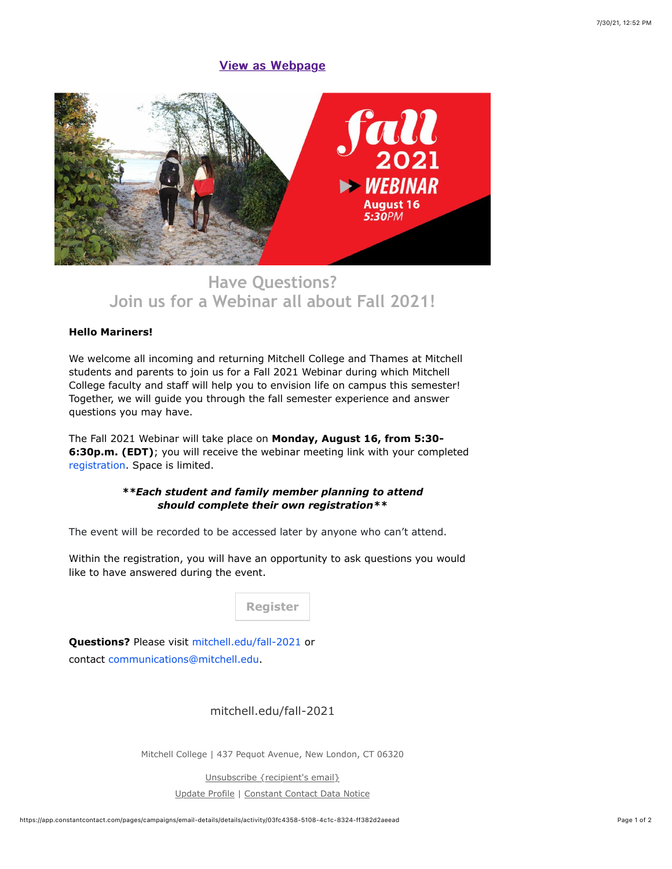## **[View as Webpage](http://campaign.r20.constantcontact.com/render?ca=03fc4358-5108-4c1c-8324-ff382d2aeead&preview=true&m=1119223208753&id=preview)**



## **[Have Questions?](https://cvent.me/vwgLn9) [Join us for a Webinar all about Fall 2021!](https://cvent.me/vwgLn9)**

## **Hello Mariners!**

We welcome all incoming and returning Mitchell College and Thames at Mitchell students and parents to join us for a Fall 2021 Webinar during which Mitchell College faculty and staff will help you to envision life on campus this semester! Together, we will guide you through the fall semester experience and answer questions you may have.

The Fall 2021 Webinar will take place on **Monday, August 16, from 5:30- 6:30p.m. (EDT)**; you will receive the webinar meeting link with your completed [registration](https://cvent.me/vwgLn9). Space is limited.

## *\*\*Each student and family member planning to attend should complete their own registration\*\**

The event will be recorded to be accessed later by anyone who can't attend.

Within the registration, you will have an opportunity to ask questions you would like to have answered during the event.

**[Register](https://cvent.me/vwgLn9)**

**Questions?** Please visit [mitchell.edu/fall-2021](https://mitchell.edu/fall-2021/) or contact [communications@mitchell.edu](mailto:communications@mitchell.edu).

[mitchell.edu/fall-2021](https://mitchell.edu/fall-2021)

Mitchell College | 437 Pequot Avenue, New London, CT 06320

[Unsubscribe {recipient's email}](https://app.constantcontact.com/pages/campaigns/email-details/details/activity/03fc4358-5108-4c1c-8324-ff382d2aeead#) [Update Profile](https://app.constantcontact.com/pages/campaigns/email-details/details/activity/03fc4358-5108-4c1c-8324-ff382d2aeead#) | [Constant Contact Data Notice](https://www.constantcontact.com/legal/customer-contact-data-notice)